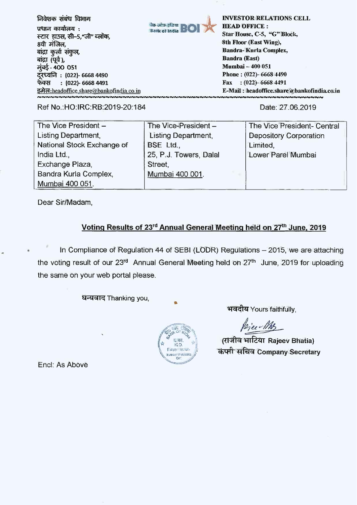*<u>निवेशक संबंध विभाग</u>* 

**प्रधान कार्यालय**: स्टार हाउस, सी-5,"जी" ब्लॉक, 8वी मंजिल, बांद्रा कुर्ला संकुल, बांद्रा (पूर्व), **-400 051 : (022)- 6668 4490 44-ti : (022)- 6668 4491 \$cAel:headoffice.sharera bankofindia.co. in**  वैक आफ़ इंडिया। **Bank of India** 

**INVESTOR RELATIONS CELL HEAD OFFICE : Star House, C-5, "G" Block, 8th Floor (East Wing), Bandra- Kurla Complex, Sandra (East) Mumbai — 400 051 Phone : (022)- 6668 4490 Fax : (022)- 6668 4491 E-Mail : headoffice.share@bankofindia.co.in**<br>~~~~~~~~~~~~~~~~~~~~~~~~~~~

Ref No.:HO:IRC:RB:2019-20:184 Date: 27.06.2019

| The Vice President -       | The Vice-President -   | The Vice President- Central   |
|----------------------------|------------------------|-------------------------------|
| Listing Department,        | Listing Department,    | <b>Depository Corporation</b> |
| National Stock Exchange of | BSE Ltd.,              | Limited,                      |
| India Ltd.,                | 25, P.J. Towers, Dalal | Lower Parel Mumbai            |
| Exchange Plaza,            | Street,                |                               |
| Bandra Kurla Complex,      | Mumbai 400 001.        |                               |
| Mumbai 400 051.            |                        |                               |

Dear Sir/Madam,

## **Voting Results of 23<sup>rd</sup> Annual General Meeting held on 27<sup>th</sup> June, 2019**

In Compliance of Regulation 44 of SEBI (LODR) Regulations — 2015, we are attaching the voting result of our **23rd** Annual General Meeting held on 27th June, 2019 for uploading the same on your web portal please.

धन्यवाद Thanking you,



भवदीय Yours faithfully,

(-{TA-ql-TedziT **Rajeev Bhatia) TliVq• Company Secretary** 

Encl: As Above